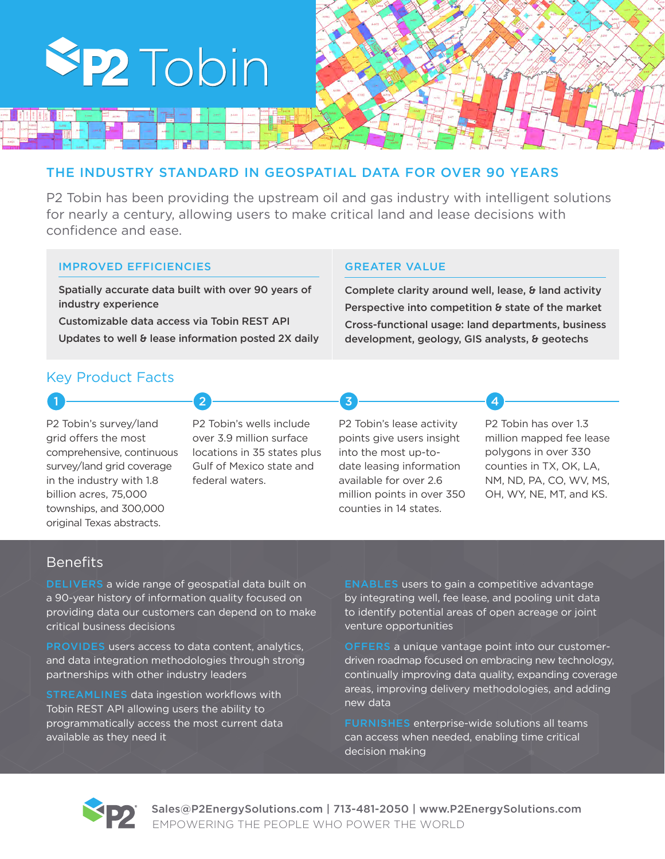

### THE INDUSTRY STANDARD IN GEOSPATIAL DATA FOR OVER 90 YEARS

P2 Tobin has been providing the upstream oil and gas industry with intelligent solutions for nearly a century, allowing users to make critical land and lease decisions with confidence and ease.

### IMPROVED EFFICIENCIES

Spatially accurate data built with over 90 years of industry experience

Customizable data access via Tobin REST API Updates to well & lease information posted 2X daily

### GREATER VALUE

Complete clarity around well, lease, & land activity Perspective into competition & state of the market Cross-functional usage: land departments, business development, geology, GIS analysts, & geotechs

### Key Product Facts

P2 Tobin's survey/land grid offers the most comprehensive, continuous survey/land grid coverage in the industry with 1.8 billion acres, 75,000 townships, and 300,000 original Texas abstracts.

P2 Tobin's wells include over 3.9 million surface locations in 35 states plus Gulf of Mexico state and federal waters.

1 **2** 2 3 3 4

#### P2 Tobin's lease activity points give users insight into the most up-todate leasing information available for over 2.6 million points in over 350 counties in 14 states.

P2 Tobin has over 1.3 million mapped fee lease polygons in over 330 counties in TX, OK, LA, NM, ND, PA, CO, WV, MS, OH, WY, NE, MT, and KS.

### **Benefits**

DELIVERS a wide range of geospatial data built on a 90-year history of information quality focused on providing data our customers can depend on to make critical business decisions

PROVIDES users access to data content, analytics, and data integration methodologies through strong partnerships with other industry leaders

STREAMLINES data ingestion workflows with Tobin REST API allowing users the ability to programmatically access the most current data available as they need it

ENABLES users to gain a competitive advantage by integrating well, fee lease, and pooling unit data to identify potential areas of open acreage or joint venture opportunities

OFFERS a unique vantage point into our customerdriven roadmap focused on embracing new technology, continually improving data quality, expanding coverage areas, improving delivery methodologies, and adding new data

FURNISHES enterprise-wide solutions all teams can access when needed, enabling time critical decision making



Sales@P2EnergySolutions.com | 713-481-2050 | www.P2EnergySolutions.com EMPOWERING THE PEOPLE WHO POWER THE WORLD